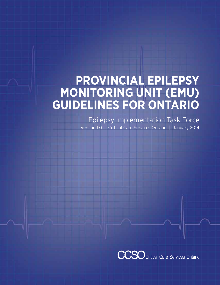# **Provincial Epilepsy Monitoring Unit (EMU) Guidelines for Ontario**

Epilepsy Implementation Task Force Version 1.0 | Critical Care Services Ontario | January 2014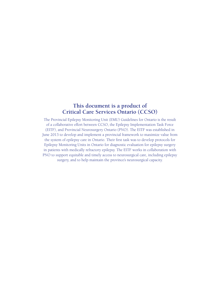## **This document is a product of Critical Care Services Ontario (CCSO)**

The Provincial Epilepsy Monitoring Unit (EMU) Guidelines for Ontario is the result of a collaborative effort between CCSO, the Epilepsy Implementation Task Force (EITF), and Provincial Neurosurgery Ontario (PNO). The EITF was established in June 2013 to develop and implement a provincial framework to maximize value from the system of epilepsy care in Ontario. Their first task was to develop protocols for Epilepsy Monitoring Units in Ontario for diagnostic evaluation for epilepsy surgery in patients with medically refractory epilepsy. The EITF works in collaboration with PNO to support equitable and timely access to neurosurgical care, including epilepsy surgery, and to help maintain the province's neurosurgical capacity.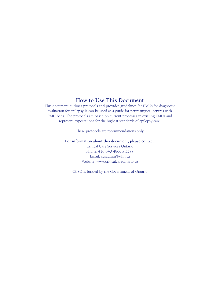## **How to Use This Document**

This document outlines protocols and provides guidelines for EMUs for diagnostic evaluation for epilepsy. It can be used as a guide for neurosurgical centres with EMU beds. The protocols are based on current processes in existing EMUs and represent expectations for the highest standards of epilepsy care.

These protocols are recommendations only.

**For information about this document, please contact:**

Critical Care Services Ontario Phone: 416-340-4800 x 5577 Email: ccsadmin@uhn.ca Website: www.criticalcareontario.ca

CCSO is funded by the Government of Ontario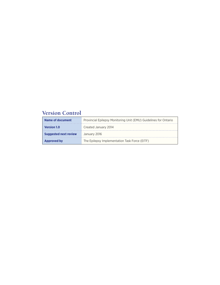# **Version Control**

| Name of document             | Provincial Epilepsy Monitoring Unit (EMU) Guidelines for Ontario |  |  |
|------------------------------|------------------------------------------------------------------|--|--|
| <b>Version 1.0</b>           | Created January 2014                                             |  |  |
| <b>Suggested next review</b> | January 2016                                                     |  |  |
| <b>Approved by</b>           | The Epilepsy Implementation Task Force (EITF)                    |  |  |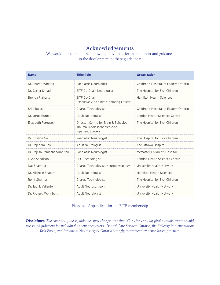## **Acknowledgements**

We would like to thank the following individuals for their support and guidance in the development of these guidelines:

| <b>Name</b>                 | <b>Title/Role</b>                                                                            | <b>Organization</b>                    |
|-----------------------------|----------------------------------------------------------------------------------------------|----------------------------------------|
| Dr. Sharon Whiting          | Paediatric Neurologist                                                                       | Children's Hospital of Eastern Ontario |
| Dr. Carter Snead            | EITF Co-Chair, Neurologist                                                                   | The Hospital for Sick Children         |
| <b>Brenda Flaherty</b>      | EITF Co-Chair<br>Executive VP & Chief Operating Officer                                      | <b>Hamilton Health Sciences</b>        |
| Srini Bulusu                | Charge Technologist                                                                          | Children's Hospital of Eastern Ontario |
| Dr. Jorge Burneo            | Adult Neurologist                                                                            | London Health Sciences Centre          |
| Elizabeth Ferguson          | Director, Centre for Brain & Behaviour,<br>Trauma, Adolescent Medicine,<br>Inpatient Surgery | The Hospital for Sick Children         |
| Dr. Cristina Go             | Paediatric Neurologist                                                                       | The Hospital for Sick Children         |
| Dr. Rajendra Kale           | <b>Adult Neurologist</b>                                                                     | The Ottawa Hospital                    |
| Dr. Rajesh RamachandranNair | Paediatric Neurologist                                                                       | McMaster Children's Hospital           |
| Elyse Sandison              | <b>EEG Technologist</b>                                                                      | London Health Sciences Centre          |
| Nat Shampur                 | Charge Technologist, Neurophysiology                                                         | University Health Network              |
| Dr. Michelle Shapiro        | <b>Adult Neurologist</b>                                                                     | <b>Hamilton Health Sciences</b>        |
| Rohit Sharma                | Charge Technologist                                                                          | The Hospital for Sick Children         |
| Dr. Taufik Valiante         | Adult Neurosurgeon                                                                           | University Health Network              |
| Dr. Richard Wennberg        | <b>Adult Neurologist</b>                                                                     | University Health Network              |

#### Please see Appendix 4 for the EITF membership

*Disclaimer: The contents of these guidelines may change over time. Clinicians and hospital administrators should use sound judgment for individual patient encounters. Critical Care Services Ontario, the Epilepsy Implementation Task Force, and Provincial Neurosurgery Ontario strongly recommend evidence-based practices.*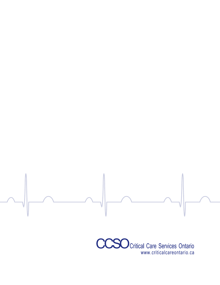

www.criticalcareontario.ca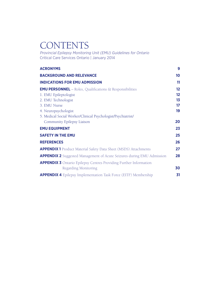# **CONTENTS**

Provincial Epilepsy Monitoring Unit (EMU) Guidelines for Ontario Critical Care Services Ontario | January 2014

| <b>ACRONYMS</b>                                                               | 9               |
|-------------------------------------------------------------------------------|-----------------|
| <b>BACKGROUND AND RELEVANCE</b>                                               | 10              |
| <b>INDICATIONS FOR EMU ADMISSION</b>                                          | 11              |
| <b>EMU PERSONNEL</b> – Roles, Qualifications & Responsibilities               | $12 \,$         |
| 1. EMU Epileptologist                                                         | $12 \,$         |
| 2. EMU Technologist                                                           | 13              |
| 3. EMU Nurse                                                                  | $17\phantom{.}$ |
| 4. Neuropsychologist                                                          | 19              |
| 5. Medical Social Worker/Clinical Psychologist/Psychiatrist/                  |                 |
| Community Epilepsy Liaison                                                    | 20              |
| <b>EMU EQUIPMENT</b>                                                          | 23              |
| <b>SAFETY IN THE EMU</b>                                                      | 25              |
| <b>REFERENCES</b>                                                             | 26              |
| <b>APPENDIX 1</b> Product Material Safety Data Sheet (MSDS) Attachments       | 27              |
| <b>APPENDIX 2</b> Suggested Management of Acute Seizures during EMU Admission | 28              |
| <b>APPENDIX 3</b> Ontario Epilepsy Centres Providing Further Information      |                 |
| <b>Regarding Monitoring</b>                                                   | 30              |
| <b>APPENDIX 4</b> Epilepsy Implementation Task Force (EITF) Membership        | 31              |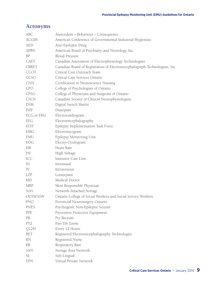## **Acronyms**

| <b>ABC</b>        | Antecedent - Behaviour - Consequence                                        |
|-------------------|-----------------------------------------------------------------------------|
| <b>ACGIH</b>      | American Conference of Governmental Industrial Hygienists                   |
| <b>AED</b>        | Anti-Epileptic Drug                                                         |
| <b>APBN</b>       | American Board of Psychiatry and Neurology, Inc.                            |
| <b>BP</b>         | <b>Blood Pressure</b>                                                       |
| CAET              | Canadian Association of Electrophysiology Technologists                     |
| <b>CBRET</b>      | Canadian Board of Registration of Electroencephalograph Technologists, Inc. |
| CCOT              | Critical Care Outreach Team                                                 |
| CCSO              | Critical Care Services Ontario                                              |
| <b>CNN</b>        | Certification in Neuroscience Nursing                                       |
| <b>CPO</b>        | College of Psychologists of Ontario                                         |
| <b>CPSO</b>       | College of Physicians and Surgeons of Ontario                               |
| <b>CSCN</b>       | Canadian Society of Clinical Neurophysiologists                             |
| <b>DSM</b>        | Digital Switch Matrix                                                       |
| <b>DZP</b>        | Diazepam                                                                    |
| <b>ECG or EKG</b> | Electrocardiogram                                                           |
| EEG               | Electroencephalography                                                      |
| EITF              | Epilepsy Implementation Task Force                                          |
| <b>EMG</b>        | Electromyogram                                                              |
| EMU               | Epilepsy Monitoring Unit                                                    |
| EOG               | Electro-Oculogram                                                           |
| <b>HR</b>         | Heart Rate                                                                  |
| HV                | High Voltage                                                                |
| ICU               | Intensive Care Unit                                                         |
| IN                | Intranasal                                                                  |
| IV                | Intravenous                                                                 |
| LZP               | Lorazepam                                                                   |
| MD                | Medical Doctor                                                              |
| <b>MRP</b>        | Most Responsible Physician                                                  |
| <b>NAS</b>        | Network-Attached Storage                                                    |
| <b>OCSWSSW</b>    | Ontario College of Social Workers and Social Service Workers                |
| <b>PNO</b>        | Provincial Neurosurgery Ontario                                             |
| <b>PNES</b>       | Psychogenic Non-Epileptic Seizure                                           |
| PPE               | Preventive Protective Equipment                                             |
| PR                | Per Rectum                                                                  |
| <b>PTZ</b>        | Pan-Tilt Zoom                                                               |
| Q12H              | Every 12 Hours                                                              |
| <b>RET</b>        | Registered Electroencephalography Technologist                              |
| <b>RN</b>         | Registered Nurse                                                            |
| <b>RR</b>         | Respiratory Rate                                                            |
| <b>SAN</b>        | Storage Area Network                                                        |
| <b>SL</b>         | Sub-Lingual                                                                 |
| <b>VPN</b>        | Virtual Private Network                                                     |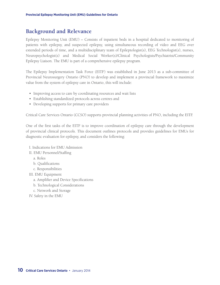## **Background and Relevance**

Epilepsy Monitoring Unit (EMU) – Consists of inpatient beds in a hospital dedicated to monitoring of patients with epilepsy, and suspected epilepsy, using simultaneous recording of video and EEG over extended periods of time, and a multidisciplinary team of Epileptologist(s), EEG Technologist(s), nurses, Neuropsychologist(s) and Medical Social Worker(s)/Clinical Psychologists/Psychiatrist/Community Epilepsy Liaison. The EMU is part of a comprehensive epilepsy program.

The Epilepsy Implementation Task Force (EITF) was established in June 2013 as a sub-committee of Provincial Neurosurgery Ontario (PNO) to develop and implement a provincial framework to maximize value from the system of epilepsy care in Ontario, this will include:

- Improving access to care by coordinating resources and wait lists
- • Establishing standardized protocols across centres and
- Developing supports for primary care providers

Critical Care Services Ontario (CCSO) supports provincial planning activities of PNO, including the EITF.

One of the first tasks of the EITF is to improve coordination of epilepsy care through the development of provincial clinical protocols. This document outlines protocols and provides guidelines for EMUs for diagnostic evaluation for epilepsy, and considers the following:

- I. Indications for EMU Admission
- II. EMU Personnel/Staffing
	- a. Roles
	- b. Qualifications
	- c. Responsibilities
- III. EMU Equipment
	- a. Amplifier and Device Specifications
	- b. Technological Considerations
	- c. Network and Storage
- IV. Safety in the EMU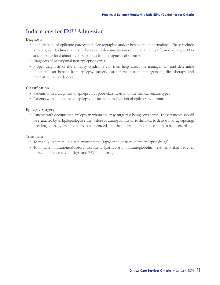## **Indications for EMU Admission**

#### **Diagnosis**

- • Identification of epileptic paroxysmal electrographic and/or behavioral abnormalities. These include seizures, overt, clinical and subclinical and documentation of interictal epileptiform discharges, EEG and or behavioral abnormalities to assist in the diagnosis of seizures.
- • Diagnosis of paroxysmal non-epileptic events
- Proper diagnosis of the epilepsy syndrome can then help direct the management and determine if patient can benefit from epilepsy surgery, further medication management, diet therapy and neurostimulation devices

#### **Classification**

- • Patients with a diagnosis of epilepsy but poor classification of the clinical seizure types
- Patients with a diagnosis of epilepsy for further classification of epilepsy syndrome

#### **Epilepsy Surgery**

• Patients with documented epilepsy in whom epilepsy surgery is being considered. These patients should be evaluated by an Epileptologist either before or during admission to the EMU to decide on drug tapering, deciding on the types of seizures to be recorded, and the optimal number of seizures to be recorded.

#### **Treatment**

- • To modify treatment in a safe environment (rapid modification of antiepileptic drugs)
- • To initiate immunomodulatory treatment (particularly immunoglobulin treatment) that requires intravenous access, vital signs and EEG monitoring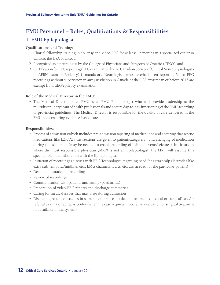# **EMU Personnel – Roles, Qualifications & Responsibilities**

# **1. EMU Epileptologist**

#### **Qualifications and Training:**

- 1. Clinical fellowship training in epilepsy and video-EEG for at least 12 months in a specialized center in Canada, the USA or abroad;
- 2. Recognized as a neurologist by the College of Physicians and Surgeons of Ontario (CPSO); and
- 3. Certification for EEG reporting (EEG examination by the Canadian Society of Clinical Neurophysiologists or APBN exam in Epilepsy) is mandatory. Neurologists who have/had been reporting Video EEG recordings without supervision in any jurisdiction in Canada or the USA anytime in or before 2013 are exempt from EEG/epilepsy examination.

#### **Role of the Medical Director in the EMU:**

• The Medical Director of an EMU is an EMU Epileptologist who will provide leadership to the multidisciplinary team of health professionals and ensure day-to-day functioning of the EMU according to provincial guidelines. The Medical Director is responsible for the quality of care delivered in the EMU beds ensuring evidence-based care.

#### **Responsibilities:**

- • Process of admission (which includes pre-admission tapering of medications and ensuring that rescue medications like LZP/DZP instructions are given to patient/caregivers), and changing of medication during the admission (may be needed to enable recording of habitual events/seizures). In situations where the most responsible physician (MRP) is not an Epileptologist, the MRP will assume this specific role in collaboration with the Epileptologist.
- • Initiation of recordings (discuss with EEG Technologist regarding need for extra scalp electrodes like extra sub-temporal/midline, etc., EMG channels, EOG, etc. are needed for the particular patient)
- Decide on duration of recordings
- Review of recordings
- • Communication with patients and family (paediatrics)
- • Preparation of video-EEG reports and discharge summaries
- Caring for medical issues that may arise during admission
- • Discussing results of studies in seizure conferences to decide treatment (medical or surgical) and/or referral to a major epilepsy center (when the case requires intracranial evaluation or surgical treatment not available in the system)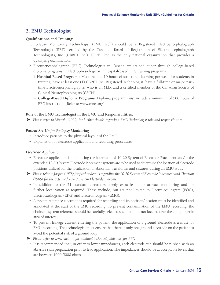### **2. EMU Technologist**

#### **Qualifications and Training:**

- 1. Epilepsy Monitoring Technologist (EMU Tech) should be a Registered Electroencephalograph Technologist (RET) certified by the Canadian Board of Registration of Electroencephalograph Technologists, Inc. (CBRET Inc.). CBRET Inc. is the only national organization that provides a qualifying examination.
- 2. Electroencephalograph (EEG) Technologists in Canada are trained either through college-based diploma programs in Electrophysiology or in hospital-based EEG training programs:
	- i. **Hospital-Based Programs:** Must include 10 hours of structured learning per week for students in training, have at least one (1) CBRET Inc. Registered Technologist, have a full-time or major parttime Electroencephalographer who is an M.D. and a certified member of the Canadian Society of Clinical Neurophysiologists (CSCN).
	- ii. **College-Based Diploma Programs:** Diploma program must include a minimum of 500 hours of EEG instruction. (Refer to www.cbret.org)

#### **Role of the EMU Technologist in the EMU and Responsibilities:**

} *Please refer to Mizrahi (1999) for further details regarding EMU Technologist role and responsibilities*

#### *Patient Set-Up for Epilepsy Monitoring*

- Introduce patients to the physical layout of the EMU
- Explanation of electrode application and recording procedures

#### *Electrode Application*

- Electrode application is done using the international 10-20 System of Electrode Placement and/or the extended 10-10 System Electrode Placement systems are to be used to determine the location of electrode positions utilized for the localization of abnormal waveforms and seizures during an EMU study
- } *Please refer to Jasper (1958) for further details regarding the 10-20 System of Electrode Placement and Chatrian (1985) for the extended 10-10 System Electrode Placement*
	- In addition to the 21 standard electrodes, apply extra leads for artefact monitoring and for further localization as required. These include, but are not limited to Electro-oculogram (EOG), Electrocardiogram (EKG) and Electromyogram (EMG).
	- • A system reference electrode is required for recording and its position/location must be identified and annotated at the start of the EMU recording. To prevent contamination of the EMU recording, the choice of system reference should be carefully selected such that it is not located near the epileptogenic area of interest.
	- • To prevent leakage current entering the patient, the application of a ground electrode is a must for EMU recording. The technologist must ensure that there is only one ground electrode on the patient to avoid the potential risk of a ground loop.
- } *Please refer to www.caet.org for minimal technical guidelines for EEG*
- It is recommended that, in order to lower impedances, each electrode site should be rubbed with an abrasive skin preparation prior to lead application. The impedances should be at acceptable levels that are between 1000-5000 ohms.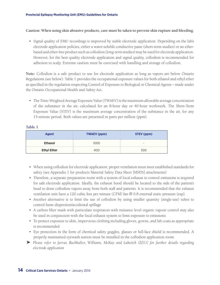#### **Caution: When using skin abrasive products, care must be taken to prevent skin rupture and bleeding.**

• Signal quality of EMU recordings is improved by stable electrode application. Depending on the lab's electrode application policies, either a water-soluble conductive paste (short-term studies) or an etherbased and ether-free product such as collodion (long-term studies) may be used for electrode application. However, for the best quality electrode application and signal quality, collodion is recommended for adhesion to scalp. Extreme caution must be exercised with handling and storage of collodion.

**Note:** Collodion is a safe product to use for electrode application as long as vapors are below Ontario Regulations (see below). Table 1 provides the occupational exposure values for both ethanol and ethyl ether as specified in the regulation respecting Control of Exposure to Biological or Chemical Agents – made under the Ontario Occupational Health and Safety Act.

• The Time-Weighted Average Exposure Value (TWAEV) is the maximum allowable average concentration of the substance in the air, calculated for an 8-hour day or 40-hour workweek. The Short-Term Exposure Value (STEV) is the maximum average concentration of the substance in the air, for any 15-minute period. Both values are presented in parts per million (ppm).

#### **Table 1**

| <b>Agent</b>       | TWAEV (ppm) | STEV (ppm) |
|--------------------|-------------|------------|
| <b>Ethanol</b>     | LOOO        |            |
| <b>Ethyl Ether</b> | 100         | 500        |

- • When using collodion for electrode application, proper ventilation must meet established standards for safety (see Appendix 1 for products Material Safety Data Sheet [MSDS] attachments)
- Therefore, a separate preparation room with a system of local exhaust to control emissions is required for safe electrode application. Ideally, the exhaust hood should be located to the side of the patient's head to draw collodion vapors away from both staff and patients. It is recommended that the exhaust ventilation unit have a 120 cubic feet per minute (CFM) fan @ 0.8 external static pressure (esp).
- • Another alternative is to limit the use of collodion by using smaller quantity (single-use) tubes to control fume dispersion/accidental spillage
- • A carbon filter mask with particulate respirators with nuisance level organic vapour control may also be used in conjunction with the local exhaust system to limit exposure to emissions
- • To protect exposure to skin, impervious clothing including gloves, gowns, and lab coats as appropriate is recommended
- • Eye protection in the form of chemical safety goggles, glasses or full-face shield is recommended. A properly maintained eyewash station must be installed in the collodion application room.
- } *Please refer to Jarrar, Buchhalter, Williams, McKay and Luketich (2011) for further details regarding electrode application*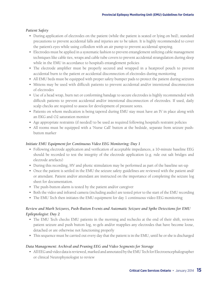#### *Patient Safety*

- • During application of electrodes on the patient (while the patient is seated or lying on bed), standard precautions to prevent accidental falls and injuries are to be taken. It is highly recommended to cover the patient's eyes while using collodion with an air pump to prevent accidental spraying.
- • Electrodes must be applied in a systematic fashion to prevent entanglement utilizing cable management techniques like cable ties, wraps and cable tube covers to prevent accidental strangulation during sleep while in the EMU in accordance to hospital's entanglement policies
- The electrode amplifier must be properly secured and wrapped in a heatproof pouch to prevent accidental burn to the patient or accidental disconnection of electrodes during monitoring
- All EMU beds must be equipped with proper safety bumper pads to protect the patient during seizures
- • Mittens may be used with difficult patients to prevent accidental and/or intentional disconnection of electrodes
- • Use of a head wrap, burn net or conforming bandage to secure electrodes is highly recommended with difficult patients to prevent accidental and/or intentional disconnection of electrodes. If used, daily scalp checks are required to assess for development of pressure sores.
- Patients on whom medication is being tapered during EMU stay must have an IV in place along with an EKG and O2 saturation monitor
- • Age appropriate restraints (if needed) to be used as required following hospital's restraint policies
- • All rooms must be equipped with a 'Nurse Call' button at the bedside, separate from seizure pushbutton marker

#### *Initiate EMU Equipment for Continuous Video EEG Monitoring: Day 1*

- • Following electrode application and verification of acceptable impedances, a 10-minute baseline EEG should be recorded to test the integrity of the electrode application (e.g. rule out salt bridges and electrode artefacts)
- • During this recording, HV and photic stimulation may be performed as part of the baseline set-up
- Once the patient is settled in the EMU the seizure safety guidelines are reviewed with the patient and/ or attendant. Patient and/or attendant are instructed on the importance of completing the seizure log sheet for documentation.
- The push-button alarm is tested by the patient and/or caregiver
- • Both the video and infrared camera (including audio) are tested prior to the start of the EMU recording
- The EMU Tech then initiates the EMU equipment for day 1 continuous video EEG monitoring

#### *Review and Mark Seizures, Push-Button Events and Automatic Seizure and Spike Detections for EMU Epileptologist: Day 2*

- The EMU Tech checks EMU patients in the morning and rechecks at the end of their shift, reviews patient seizure and push button log, re-gels and/or reapplies any electrodes that have become loose, detached or are otherwise not functioning properly
- • This sequence must be carried out every day that the patient is in the EMU, until he or she is discharged

#### *Data Management: Archival and Pruning EEG and Video Segments for Storage*

• All EEG and video data is reviewed, marked and annotated by the EMU Tech for Electroencephalographer or clinical Neurophysiologist to review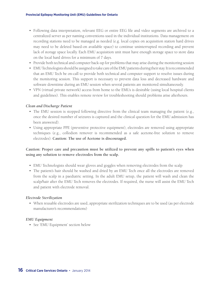- • Following data interpretation, relevant EEG or entire EEG file and video segments are archived to a centralized server as per naming conventions used in the individual institutions. Data management on recording stations need to be managed as needed (e.g. local copies on acquisition station hard drives may need to be deleted based-on available space) to continue uninterrupted recording and prevent lack of storage space locally. Each EMU acquisition unit must have enough storage space to store data on the local hard drives for a minimum of 7 days.
- • Provide both technical and computer back-up for problems that may arise during the monitoring session
- • EMU Technologists should be assigned to take care of the EMU patients during their stay. It is recommended that an EMU Tech be on-call to provide both technical and computer support to resolve issues during the monitoring session. This support is necessary to prevent data loss and decreased hardware and software downtime during an EMU session when several patients are monitored simultaneously.
- • VPN (virtual private network) access from home to the EMUs is desirable (using local hospital clients and guidelines). This enables remote review for troubleshooting should problems arise afterhours.

#### *Clean and Discharge Patient*

- The EMU session is stopped following directive from the clinical team managing the patient (e.g., once the desired number of seizures is captured and the clinical question for the EMU admission has been answered).
- • Using appropriate PPE (preventive protective equipment), electrodes are removed using appropriate techniques (e.g., collodion remover is recommended as a safe acetone-free solution to remove electrodes). **Caution: The use of Acetone is discouraged.**

#### **Caution: Proper care and precaution must be utilized to prevent any spills to patient's eyes when using any solution to remove electrodes from the scalp.**

- EMU Technologists should wear gloves and goggles when removing electrodes from the scalp
- The patient's hair should be washed and dried by an EMU Tech once all the electrodes are removed from the scalp in a paediatric setting. In the adult EMU setup, the patient will wash and clean the scalp/hair after the EMU Tech removes the electrodes. If required, the nurse will assist the EMU Tech and patient with electrode removal.

#### *Electrode Sterilization*

• When reusable electrodes are used, appropriate sterilization techniques are to be used (as per electrode manufacturer's recommendations)

#### *EMU Equipment*

• See 'EMU Equipment' section below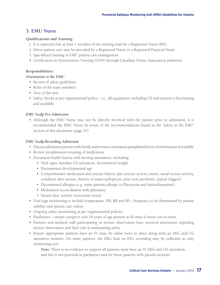### **3. EMU Nurse**

#### **Qualifications and Training:**

- 1. It is expected that at least 1 member of the nursing team be a Registered Nurse (RN)
- 2. Direct patient care may be provided by a Registered Nurse or a Registered Practical Nurse
- 3. Specialized training in EMU patient care management
- 4. Certification in Neuroscience Nursing (CNN) through Canadian Nurses Association preferred

#### **Responsibilities:**

#### *Orientation to the EMU*

- Review of safety guidelines
- • Roles of the team members
- Tour of the unit
- Safety checks as per organizational policy i.e., all equipment, including O2 and suction is functioning and available

#### *EMU Scalp Pre-Admission*

• Although the EMU Nurse may not be directly involved with the patient prior to admission, it is recommended the EMU Nurse be aware of the recommendations found in the 'Safety in the EMU' section of this document (page 25)

#### *EMU Scalp Recording Admission*

- • Discuss admission process with family and reviews orientation pamphlets/letters of information if available
- Review preadmission weaning of medication
- Document health history and nursing assessment, including:
	- • Vital signs, baseline O2 saturation, documented weight
	- Documented developmental age
	- • Comprehensive medication and seizure history (pre-seizure activity (aura), usual seizure activity, condition after seizure, history of status epilepticus, post-ictal psychosis, typical triggers)
	- • Documented allergies (e.g. some patients allergic to Phenytoin and benzodiazepines)
	- Medication reconciliation with pharmacy
	- • Ensure diet, activity restrictions noted
- • Vital sign monitoring to include temperature, HR, RR and BP frequency to be determined by patient stability and patient care orders
- • Ongoing safety monitoring as per organizational policies
- • Paediatrics ensure caregiver over 18 years of age present at all times if nurse not in room
- • Ensures non-medical staff participating in seizure observation have received instruction regarding seizure observation and their role in maintaining safety
- Ensure appropriate patients have an IV (may be saline lock) in place along with an EKG and O2 saturation monitor. On some patients, the EKG lead on EEG recording may be sufficient as only monitoring tool.

**Note:** There is no evidence to support all patients must have an IV, EKG and O2 saturation, and this is not practical in paediatrics and for those patients with pseudo-seizures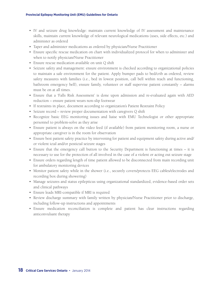- • IV and seizure drug knowledge: maintain current knowledge of IV assessment and maintenance skills, maintain current knowledge of relevant neurological medications (uses, side effects, etc.) and administer as ordered
- Taper and administer medications as ordered by physician/Nurse Practitioner
- • Ensure specific rescue medication on chart with individualized protocol for when to administer and when to notify physician/Nurse Practitioner
- Ensure rescue medication available on unit Q shift
- • Seizure safety and management: ensure environment is checked according to organizational policies to maintain a safe environment for the patient. Apply bumper pads to bed/crib as ordered, review safety measures with families (i.e., bed in lowest position, call bell within reach and functioning, bathroom emergency bell), ensure family, volunteer or staff supervise patient constantly – alarms must be on at all times.
- Ensure that a 'Falls Risk Assessment' is done upon admission and re-evaluated again with AED reduction – ensure patient wears non-slip footwear
- If restraints in place, document according to organization's Patient Restraint Policy
- Seizure record review proper documentation with caregivers Q shift
- Recognize basic EEG monitoring issues and liaise with EMU Technologist or other appropriate personnel to problem-solve as they arise
- • Ensure patient is always on the video feed (if available) from patient monitoring room, a nurse or appropriate caregiver is in the room for observation
- • Ensure best patient safety practice by intervening for patient and equipment safety during active and/ or violent ictal and/or postictal seizure stages
- Ensure that the emergency call button to the Security Department is functioning at times it is necessary to use for the protection of all involved in the case of a violent or acting out seizure stage
- • Ensure orders regarding length of time patient allowed to be disconnected from main recording unit for ambulatory monitoring devices
- • Monitor patient safety while in the shower (i.e., securely covers/protects EEG cables/electrodes and recording box during showering)
- • Manage seizures and status epilepticus using organizational standardized, evidence-based order sets and clinical pathways
- Ensure leads MRI-compatible if MRI is required
- Review discharge summary with family written by physician/Nurse Practitioner prior to discharge, including follow-up instructions and appointments
- • Ensure medication reconciliation is complete and patient has clear instructions regarding anticonvulsant therapy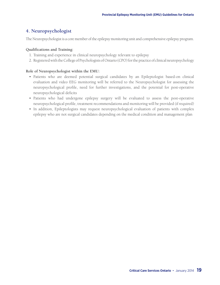### **4. Neuropsychologist**

The Neuropsychologist is a core member of the epilepsy monitoring unit and comprehensive epilepsy program.

#### **Qualifications and Training:**

- 1. Training and experience in clinical neuropsychology relevant to epilepsy
- 2. Registered with the College of Psychologists of Ontario (CPO) for the practice of clinical neuropsychology

#### **Role of Neuropsychologist within the EMU:**

- Patients who are deemed potential surgical candidates by an Epileptologist based-on clinical evaluation and video EEG monitoring will be referred to the Neuropsychologist for assessing the neuropsychological profile, need for further investigations, and the potential for post-operative neuropsychological deficits
- • Patients who had undergone epilepsy surgery will be evaluated to assess the post-operative neuropsychological profile, treatment recommendations and monitoring will be provided (if required)
- In addition, Epileptologists may request neuropsychological evaluation of patients with complex epilepsy who are not surgical candidates depending on the medical condition and management plan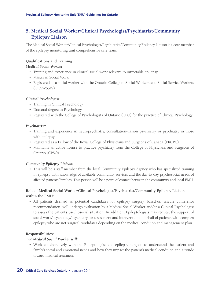## **5. Medical Social Worker/Clinical Psychologist/Psychiatrist/Community Epilepsy Liaison**

The Medical Social Worker/Clinical Psychologist/Psychiatrist/Community Epilepsy Liaison is a core member of the epilepsy monitoring unit comprehensive care team.

#### **Qualifications and Training**

#### *Medical Social Worker:*

- Training and experience in clinical social work relevant to intractable epilepsy
- • Master in Social Work
- • Registered as a social worker with the Ontario College of Social Workers and Social Service Workers (OCSWSSW)

#### *Clinical Psychologist:*

- Training in Clinical Psychology
- Doctoral degree in Psychology
- Registered with the College of Psychologists of Ontario (CPO) for the practice of Clinical Psychology

#### *Psychiatrist:*

- Training and experience in neuropsychiatry, consultation-liaison psychiatry, or psychiatry in those with epilepsy
- • Registered as a Fellow of the Royal College of Physicians and Surgeons of Canada (FRCPC)
- • Maintains an active license to practice psychiatry from the College of Physicians and Surgeons of Ontario (CPSO)

#### *Community Epilepsy Liaison:*

• This will be a staff member from the local Community Epilepsy Agency who has specialized training in epilepsy with knowledge of available community services and the day-to-day psychosocial needs of affected patients/families. This person will be a point of contact between the community and local EMU.

#### **Role of Medical Social Worker/Clinical Psychologist/Psychiatrist/Community Epilepsy Liaison within the EMU:**

• All patients deemed as potential candidates for epilepsy surgery, based-on seizure conference recommendation, will undergo evaluation by a Medical Social Worker and/or a Clinical Psychologist to assess the patient's psychosocial situation. In addition, Epileptologists may request the support of social work/psychology/psychiatry for assessment and intervention on behalf of patients with complex epilepsy who are not surgical candidates depending on the medical condition and management plan.

#### **Responsibilities:**

#### *The Medical Social Worker will:*

• Work collaboratively with the Epileptologist and epilepsy surgeon to understand the patient and family's social and emotional needs and how they impact the patient's medical condition and attitude toward medical treatment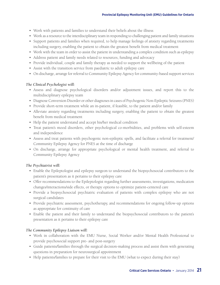- Work with patients and families to understand their beliefs about the illness
- • Work as a resource to the interdisciplinary team in responding to challenging patient and family situations
- • Support patients and families when required, to help manage feelings of anxiety regarding treatments including surgery, enabling the patient to obtain the greatest benefit from medical treatment
- • Work with the team in order to assist the patient in understanding a complex condition such as epilepsy
- Address patient and family needs related to resources, funding and advocacy
- • Provide individual, couple and family therapy as needed to support the wellbeing of the patient
- Assist with the transition service from paediatric to adult epilepsy care
- • On discharge, arrange for referral to Community Epilepsy Agency for community-based support services

#### *The Clinical Psychologist will:*

- • Assess and diagnose psychological disorders and/or adjustment issues, and report this to the multidisciplinary epilepsy team
- • Diagnose Conversion Disorder or other diagnoses in cases of Psychogenic Non-Epileptic Seizures (PNES)
- • Provide short-term treatment while an in-patient, if feasible, to the patient and/or family
- • Alleviate anxiety regarding treatments including surgery, enabling the patient to obtain the greatest benefit from medical treatment
- Help the patient understand and accept his/her medical condition
- • Treat patient's mood disorders, other psychological co-morbidities, and problems with self-esteem and independence
- • Assess and treat patients with psychogenic non-epileptic spells, and facilitate a referral for treatment/ Community Epilepsy Agency for PNES at the time of discharge
- • On discharge, arrange for appropriate psychological or mental health treatment, and referral to Community Epilepsy Agency

#### *The Psychiatrist will:*

- • Enable the Epileptologist and epilepsy surgeon to understand the biopsychosocial contributors to the patient's presentation as it pertains to their epilepsy care
- • Offer recommendations to the Epileptologist regarding further assessments, investigations, medication changes/interactions/side effects, or therapy options to optimize patient-centered care
- • Provide a biopsychosocial psychiatric evaluation of patients with complex epilepsy who are not surgical candidates
- • Provide psychiatric assessment, psychotherapy, and recommendations for ongoing follow-up options as appropriate for continuity of care
- • Enable the patient and their family to understand the biopsychosocial contributors to the patient's presentation as it pertains to their epilepsy care

#### *The Community Epilepsy Liaison will:*

- • Work in collaboration with the EMU Nurse, Social Worker and/or Mental Health Professional to provide psychosocial support pre- and post-surgery
- • Guide patients/families through the surgical decision-making process and assist them with generating questions in preparation for neurosurgical appointment
- Help patients/families to prepare for their visit to the EMU (what to expect during their stay)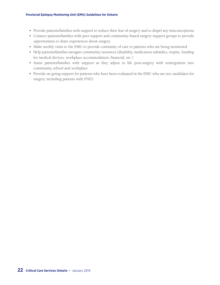- Provide patients/families with support to reduce their fear of surgery and to dispel any misconceptions
- • Connect patients/families with peer support and community-based surgery support groups to provide opportunities to share experiences about surgery
- Make weekly visits to the EMU to provide continuity of care to patients who are being monitored
- Help patients/families navigate community resources (disability, medication subsidies, respite, funding for medical devices, workplace accommodation, financial, etc.)
- • Assist patients/families with support as they adjust to life post-surgery with reintegration into community, school and workplace
- • Provide on-going support for patients who have been evaluated in the EMU who are not candidates for surgery, including patients with PNES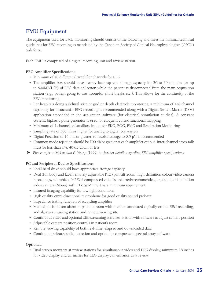## **EMU Equipment**

The equipment used for EMU monitoring should consist of the following and meet the minimal technical guidelines for EEG recording as mandated by the Canadian Society of Clinical Neurophysiologists (CSCN) task force.

Each EMU is comprised of a digital recording unit and review station.

#### **EEG Amplifier Specifications**

- • Minimum of 40 differential amplifier channels for EEG
- The amplifier box should have battery back-up and storage capacity for 20 to 30 minutes (or up to 500MB/1GB) of EEG data collection while the patient is disconnected from the main acquisition station (e.g., patient going to washroom/for short breaks etc.). This allows for the continuity of the EEG monitoring.
- For hospitals doing subdural strip or grid or depth electrode monitoring, a minimum of 128 channel capability for intracranial EEG recording is recommended along with a Digital Switch Matrix (DSM) application embedded in the acquisition software (for electrical stimulation studies). A constant current, biphasic pulse generator is used for eloquent cortex functional mapping.
- • Minimum of 4 channels of auxiliary inputs for EKG, EOG, EMG and Respiration Monitoring
- Sampling rate of 500 Hz or higher for analog to digital conversion
- Digital Precision of 16 bits or greater, to resolve voltage to 0.5 μV, is recommended
- • Common mode rejection should be 100 dB or greater at each amplifier output. Inter-channel cross-talk must be less than 1%, 40 dB down or less
- } *Please refer to McLachlan & Young (1999) for further details regarding EEG amplifier specifications*

#### **PC and Peripheral Device Specifications**

- Local hard drive should have appropriate storage capacity
- • Dual (full body and face) remotely adjustable PTZ (pan-tilt-zoom) high-definition colour video camera recording synchronized MPEG4 compressed video is preferred/recommended, or, a standard definition video camera (Mono) with PTZ & MPEG 4 as a minimum requirement
- Infrared imaging capability for low light conditions
- High quality omni-directional microphone for good quality sound pick-up
- Impedance testing function of recording amplifier
- • Manual push-button alarm in patient's room with markers annotated digitally on the EEG recording, and alarms at nursing station and remote viewing site
- • Continuous video and optional EEG streaming at nurses' station with software to adjust camera position
- • Adjustable camera position controls in patient's room
- Remote viewing capability of both real-time, elapsed and downloaded data
- • Continuous seizure, spike detection and option for compressed spectral array software

#### **Optional:**

• Dual screen monitors at review stations for simultaneous video and EEG display, minimum 18 inches for video display and 21 inches for EEG display can enhance data review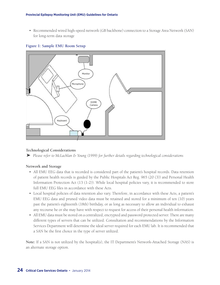• Recommended wired high-speed network (GB backbone) connection to a Storage Area Network (SAN) for long-term data storage

#### **Figure 1: Sample EMU Room Setup**



#### **Technological Considerations**

} *Please refer to McLachlan & Young (1999) for further details regarding technological considerations*

#### **Network and Storage**

- All EMU EEG data that is recorded is considered part of the patient's hospital records. Data retention of patient health records is guided by the Public Hospitals Act Reg. 965 (20 (3)) and Personal Health Information Protection Act (13 (1-2)). While local hospital policies vary, it is recommended to store full EMU EEG files in accordance with these Acts.
- • Local hospital policies of data retention also vary. Therefore, in accordance with these Acts, a patient's EMU EEG data and pruned video data must be retained and stored for a minimum of ten (10) years past the patient's eighteenth (18th) birthday, or as long as necessary to allow an individual to exhaust any recourse he or she may have with respect to request for access of their personal health information.
- • All EMU data must be stored on a centralized, encrypted and password protected server. There are many different types of servers that can be utilized. Consultation and recommendations by the Information Services Department will determine the ideal server required for each EMU lab. It is recommended that a SAN be the first choice in the type of server utilized.

**Note:** If a SAN is not utilized by the hospital(s), the IT Department's Network-Attached Storage (NAS) is an alternate storage option.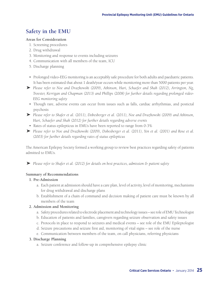## **Safety in the EMU**

#### **Areas for Consideration**

- 1. Screening procedures
- 2. Drug withdrawal
- 3. Monitoring and response to events including seizures
- 4. Communication with all members of the team, ICU
- 5. Discharge planning
- • Prolonged video-EEG monitoring is an acceptably safe procedure for both adults and paediatric patients. It has been estimated that about 1 death/year occurs while monitoring more than 5000 patients per year.
- } *Please refer to Noe and Drazkowski (2009), Atkinson, Hari, Schaefer and Shah (2012), Arrington, Ng, Troester, Kerrigan and Chapman (2013) and Phillips (2008) for further details regarding prolonged video-EEG monitoring safety*
- • Though rare, adverse events can occur from issues such as falls, cardiac arrhythmias, and postictal psychosis
- } *Please refer to Shafer et al. (2011), Dobesberger et al. (2011), Noe and Drazkowski (2009) and Atkinson, Hari, Schaefer and Shah (2012) for further details regarding adverse events*
- Rates of status epilepticus in EMUs have been reported to range from 0-3%
- } *Please refer to Noe and Drazkowski (2009), Dobesberger et al. (2011), Yen et al. (2001) and Rose et al. (2003) for further details regarding rates of status epilepticus*

The American Epilepsy Society formed a working group to review best practices regarding safety of patients admitted to EMUs.

} *Please refer to Shafer et al. (2012) for details on best practices, admission & patient safety* 

#### **Summary of Recommendations**

#### **1. Pre-Admission**

- a. Each patient at admission should have a care plan, level of activity, level of monitoring, mechanisms for drug withdrawal and discharge plans
- b. Establishment of a chain of command and decision making of patient care must be known by all members of the team

#### **2. Admission and Monitoring**

- a. Safety procedures related to electrode placement and technology issues see role of EMU Technologist
- b. Education of patients and families, caregivers regarding seizure observation and safety issues
- c. Protocols in place to respond to seizures and medical events see role of the EMU Epileptologist
- d. Seizure precautions and seizure first aid, monitoring of vital signs see role of the nurse
- e. Communication between members of the team, on call physicians, referring physicians

#### **3. Discharge Planning**

a. Seizure conference and follow-up in comprehensive epilepsy clinic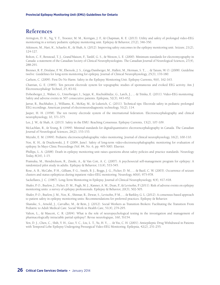## **References**

Arrington, D. K., Ng, Y. T., Troester, M. M., Kerrigan, J. F., & Chapman, K. E. (2013). Utility and safety of prolonged video-EEG monitoring in a tertiary pediatric epilepsy monitoring unit. Epilepsy & Behavior, 27(2), 346-350.

Atkinson, M., Hari, K., Schaefer, K., & Shah, A. (2012). Improving safety outcomes in the epilepsy monitoring unit. Seizure, 21(2), 124-127.

Bolton, C. F., Benstead, T. J., Grand'Maison, F., Tardif, G. S., & Weston, L. E. (2000). Minimum standards for electromyography in Canada: a statement of the Canadian Society of Clinical Neurophysiologists. The Canadian Journal of Neurological Sciences, 27(4), 288-291.

Brenner, R. P., Drislane, F. W., Ebersole, J. S., Grigg-Damberger, M., Hallett, M., Herman, S. T., ... & Tatum, W. O. (2008). Guideline twelve: Guidelines for long-term monitoring for epilepsy. Journal of Clinical Neurophysiology, 25(3), 170-180.

Carlson, C. (2009). First Do No Harm: Safety in the Epilepsy Monitoring Unit. Epilepsy Currents, 9(6), 162-163.

Chatrian, G. E. (1985). Ten percent electrode system for topographic studies of spontaneous and evoked EEG activity. Am J Electroencephalogr Technol, 25, 83-92.

Dobesberger, J., Walser, G., Unterberger, I., Seppi, K., Kuchukhidze, G., Larch, J., ... & Trinka, E. (2011). Video-EEG monitoring: Safety and adverse events in 507 consecutive patients. Epilepsia, 52(3), 443-452.

Jarrar, R., Buchhalter, J., Williams, K., McKay, M., & Luketich, C. (2011). Technical tips: Electrode safety in pediatric prolonged EEG recordings. American journal of electroneurodiagnostic technology, 51(2), 114.

Jasper, H. H. (1958). The ten twenty electrode system of the international federation. Electroencephalography and clinical neurophysiology, 10, 371-375.

Lee, J. W., & Shah, A. (2013). Safety in the EMU: Reaching Consensus. Epilepsy Currents, 13(2), 107-109.

McLachlan, R., & Young, B. (1999). Minimal standards for digital/quantitative electroencephalography in Canada. The Canadian Journal of Neurological Sciences, 26(2), 153-153.

Mizrahi, E. M. (1999). Pediatric electroencephalographic video monitoring. Journal of clinical neurophysiology, 16(2), 100-110.

Noe, K. H., & Drazkowski, J. F. (2009, June). Safety of long-term video-electroencephalographic monitoring for evaluation of epilepsy. In Mayo Clinic Proceedings (Vol. 84, No. 6, pp. 495-500). Elsevier.

Phillips, L. A. (2008). Death in epilepsy monitoring unit raises questions about safety policies and practice standards. Neurology Today, 8(16), 1-15.

Pramuka, M., Hendrickson, R., Zinski, A., & Van Cott, A. C. (2007). A psychosocial self-management program for epilepsy: A randomized pilot study in adults. Epilepsy & Behavior, 11(4), 533-545.

Rose, A. B., McCabe, P. H., Gilliam, F. G., Smith, B. J., Boggs, J. G., Ficker, D. M., ... & Bazil, C. W. (2003). Occurrence of seizure clusters and status epilepticus during inpatient video-EEG monitoring. Neurology, 60(6), 975-978.

Sackellares, J. C. (1987). Long-Term Monitoring in Epilepsy. Journal of Clinical Neurophysiology, 4(4), 417-418.

Shafer, P. O., Buelow, J., Ficker, D. M., Pugh, M. J., Kanner, A. M., Dean, P., & Levisohn, P. (2011). Risk of adverse events on epilepsy monitoring units: a survey of epilepsy professionals. Epilepsy & Behavior, 20(3), 502-505.

Shafer, P. O., Buelow, J. M., Noe, K., Shinnar, R., Dewar, S., Levisohn, P. M., ... & Barkley, G. L. (2012). A consensus-based approach to patient safety in epilepsy monitoring units: Recommendations for preferred practices. Epilepsy & Behavior.

Shanske, S., Arnold, J., Carvalho, M., & Rein, J. (2012). Social Workers as Transition Brokers: Facilitating the Transition From Pediatric to Adult Medical Care. Social Work in Health Care, 51(4), 279-295.

Valton, L., & Mascott, C. R. (2004). What is the role of neuropsychological testing in the investigation and management of pharmacologically intractable partial epilepsy?. Revue neurologique, 160, 5S154.

Yen, D. J., Chen, C., Shih, Y. H., Guo, Y. C., Liu, L. T., Yu, H. Y., ... & Yiu, C. H. (2001). Antiepileptic Drug Withdrawal in Patients with Temporal Lobe Epilepsy Undergoing Presurgical Video-EEG Monitoring. Epilepsia, 42(2), 251-255.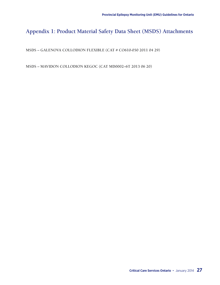# **Appendix 1: Product Material Safety Data Sheet (MSDS) Attachments**

**MSDS – GALENOVA COLLODION FLEXIBLE (CAT # CO610-050 2011 04 29)**

**MSDS – MAVIDON COLLODION KEGOC (CAT MD0002–6T 2013 06 20)**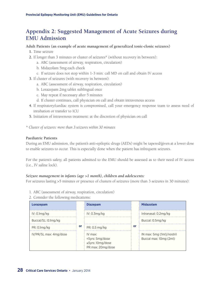## **Appendix 2: Suggested Management of Acute Seizures during EMU Admission**

#### **Adult Patients (an example of acute management of generalized tonic-clonic seizures)**

- **1.** Time seizure
- **2.** If longer than 3 minutes or cluster of seizures\* (without recovery in between):
	- a. ABC (assessment of airway, respiration, circulation)
	- b. Midazolam 5mg each cheek
	- c. If seizure does not stop within 1-3 min: call MD on call and obtain IV access
- **3.** If cluster of seizures (with recovery in between):
	- a. ABC (assessment of airway, respiration, circulation)
	- b. Lorazepam 2mg tablet sublingual once
	- c. May repeat if necessary after 5 minutes
	- d. If cluster continues, call physician on call and obtain intravenous access
- **4.** If respiratory/cardiac system is compromised, call your emergency response team to assess need of intubation or transfer to ICU
- **5.** Initiation of intravenous treatment: at the discretion of physician on call
- *\* Cluster of seizures: more than 3 seizures within 30 minutes*

#### **Paediatric Patients**

During an EMU admission, the patient's anti-epileptic drugs (AEDs) might be tapered/given at a lower dose to enable seizures to occur. This is especially done when the patient has infrequent seizures.

For the patient's safety, all patients admitted to the EMU should be assessed as to their need of IV access (i.e., IV saline lock).

#### *Seizure management in infants (age >1 month), children and adolescents:*

For seizures lasting >5 minutes or presence of clusters of seizures (more than 3 seizures in 30 minutes):

- 1. ABC (assessment of airway, respiration, circulation)
- 2. Consider the following medications:

| Lorazepam              |    | <b>Diazepam</b>                                                              |    | <b>Midazolam</b>                                    |
|------------------------|----|------------------------------------------------------------------------------|----|-----------------------------------------------------|
| IV: 0.1mg/kg           | or | IV: 0.3mg/kg                                                                 |    | Intranasal: 0.2mg/kg                                |
| Buccal/SL: 0.1mg/kg    |    |                                                                              |    | Buccal: 0.5mg/kg                                    |
| PR: 0.1mg/kg           |    | PR: 0.5 mg/kg                                                                | Ωľ |                                                     |
| IV/PR/SL max: 4mg/dose |    | $IV$ max $\cdot$<br><5yrs: 5mg/dose<br>≥5yrs: 10mg/dose<br>PR max: 20mg/dose |    | IN max: 5mg (1ml)/nostril<br>Buccal max: 10mg (2ml) |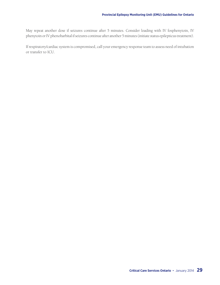May repeat another dose if seizures continue after 5 minutes. Consider loading with IV fosphenytoin, IV phenytoin or IV phenobarbital if seizures continue after another 5 minutes (initiate status epilepticus treatment).

If respiratory/cardiac system is compromised, call your emergency response team to assess need of intubation or transfer to ICU.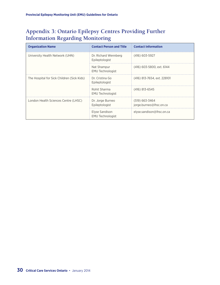# **Appendix 3: Ontario Epilepsy Centres Providing Further Information Regarding Monitoring**

| <b>Organization Name</b>                   | <b>Contact Person and Title</b>           | <b>Contact Information</b>                |
|--------------------------------------------|-------------------------------------------|-------------------------------------------|
| University Health Network (UHN)            | Dr. Richard Wennberg<br>Epileptologist    | $(416) 603 - 5927$                        |
|                                            | Nat Shampur<br><b>EMU Technologist</b>    | (416) 603-5800, ext. 6144                 |
| The Hospital for Sick Children (Sick Kids) | Dr. Cristina Go<br>Epileptologist         | (416) 813-7654, ext. 228101               |
|                                            | Rohit Sharma<br><b>EMU Technologist</b>   | $(416)$ 813-6545                          |
| London Health Sciences Centre (LHSC)       | Dr. Jorge Burneo<br>Epileptologist        | (519) 663-3464<br>jorge.burneo@lhsc.on.ca |
|                                            | Elyse Sandison<br><b>EMU Technologist</b> | elyse.sandison@lhsc.on.ca                 |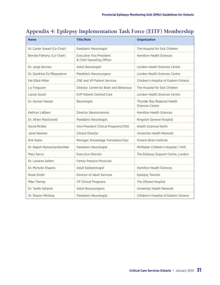| <b>Name</b>                 | <b>Title/Role</b>                                            | <b>Organization</b>                            |
|-----------------------------|--------------------------------------------------------------|------------------------------------------------|
| Dr. Carter Snead (Co-Chair) | Paediatric Neurologist                                       | The Hospital for Sick Children                 |
| Brenda Flaherty (Co-Chair)  | <b>Executive Vice President</b><br>& Chief Operating Officer | <b>Hamilton Health Sciences</b>                |
| Dr. Jorge Burneo            | Adult Neurologist                                            | London Health Sciences Centre                  |
| Dr. Sandrine De Ribaupierre | Paediatric Neurosurgeon                                      | <b>London Health Sciences Centre</b>           |
| Pat Elliot-Miller           | <b>CNE and VP Patient Services</b>                           | Children's Hospital of Eastern Ontario         |
| Liz Ferguson                | Director, Centre for Brain and Behaviour                     | The Hospital for Sick Children                 |
| Laurie Gould                | <b>EVP Patient-Centred Care</b>                              | <b>London Health Sciences Centre</b>           |
| Dr. Ayman Hassan            | Neurologist                                                  | Thunder Bay Regional Health<br>Sciences Centre |
| Kathryn LeBlanc             | Director, Neurosciences                                      | <b>Hamilton Health Sciences</b>                |
| Dr. Athen MacDonald         | Paediatric Neurologist                                       | Kingston General Hospital                      |
| David McNeil                | Vice President Clinical Programs/CNO                         | <b>Health Sciences North</b>                   |
| Janet Newton                | <b>Clinical Director</b>                                     | University Health Network                      |
| Kirk Nylen                  | Manager, Knowledge Translation/Ops                           | Ontario Brain Institute                        |
| Dr. Rajesh RamachandranNair | Paediatric Neurologist                                       | McMaster Children's Hospital / HHS             |
| Mary Secco                  | <b>Executive Director</b>                                    | The Epilepsy Support Centre, London            |
| Dr. Laurene Sellers         | Family Practice Physician                                    |                                                |
| Dr. Michelle Shapiro        | Adult Epileptologist                                         | <b>Hamilton Health Sciences</b>                |
| Rosie Smith                 | Director of Adult Services                                   | Epilepsy Toronto                               |
| Mike Tierney                | <b>VP Clinical Programs</b>                                  | The Ottawa Hospital                            |
| Dr. Taufik Valiante         | Adult Neurosurgeon                                           | University Health Network                      |
| Dr. Sharon Whiting          | Paediatric Neurologist                                       | Children's Hospital of Eastern Ontario         |

# **Appendix 4: Epilepsy Implementation Task Force (EITF) Membership**